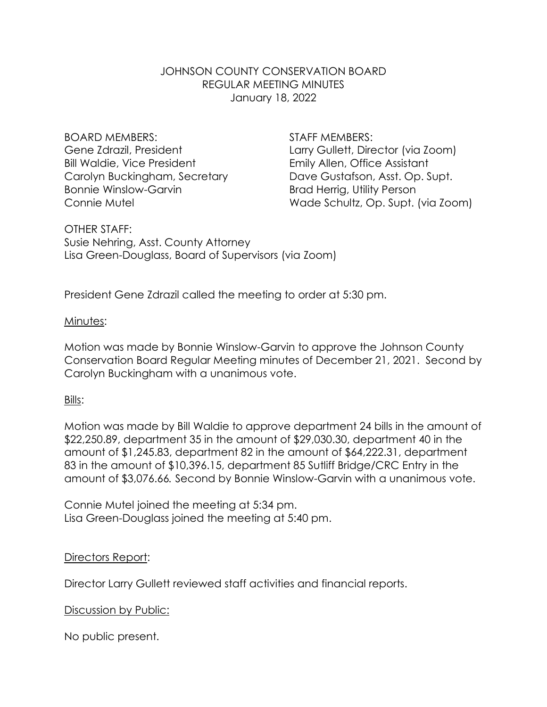# JOHNSON COUNTY CONSERVATION BOARD REGULAR MEETING MINUTES January 18, 2022

BOARD MEMBERS: STAFF MEMBERS: Bill Waldie, Vice President **Emily Allen, Office Assistant** Bonnie Winslow-Garvin **Brad Herrig**, Utility Person

Gene Zdrazil, President **Larry Gullett**, Director (via Zoom) Carolyn Buckingham, Secretary Dave Gustafson, Asst. Op. Supt. Connie Mutel Wade Schultz, Op. Supt. (via Zoom)

OTHER STAFF: Susie Nehring, Asst. County Attorney Lisa Green-Douglass, Board of Supervisors (via Zoom)

President Gene Zdrazil called the meeting to order at 5:30 pm.

### Minutes:

Motion was made by Bonnie Winslow-Garvin to approve the Johnson County Conservation Board Regular Meeting minutes of December 21, 2021. Second by Carolyn Buckingham with a unanimous vote.

# Bills:

Motion was made by Bill Waldie to approve department 24 bills in the amount of \$22,250.89, department 35 in the amount of \$29,030.30, department 40 in the amount of \$1,245.83, department 82 in the amount of \$64,222.31, department 83 in the amount of \$10,396.15, department 85 Sutliff Bridge/CRC Entry in the amount of \$3,076.66*.* Second by Bonnie Winslow-Garvin with a unanimous vote.

Connie Mutel joined the meeting at 5:34 pm. Lisa Green-Douglass joined the meeting at 5:40 pm.

# Directors Report:

Director Larry Gullett reviewed staff activities and financial reports.

# Discussion by Public:

No public present.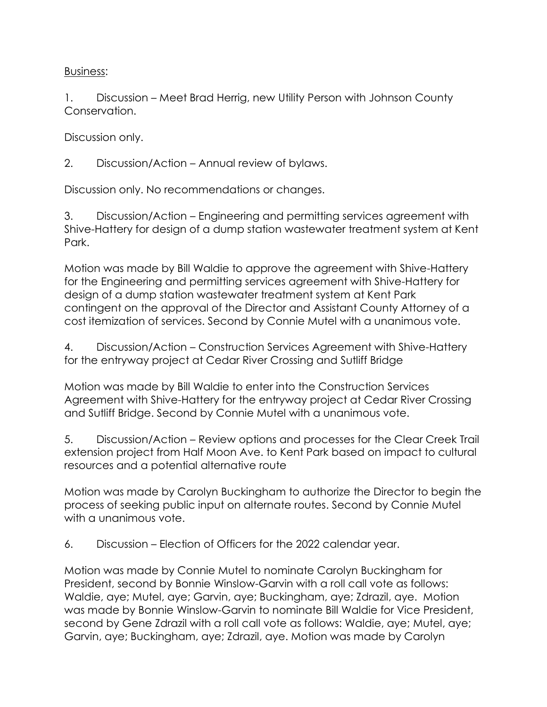Business:

1. Discussion – Meet Brad Herrig, new Utility Person with Johnson County Conservation.

Discussion only.

2. Discussion/Action – Annual review of bylaws.

Discussion only. No recommendations or changes.

3. Discussion/Action – Engineering and permitting services agreement with Shive-Hattery for design of a dump station wastewater treatment system at Kent Park.

Motion was made by Bill Waldie to approve the agreement with Shive-Hattery for the Engineering and permitting services agreement with Shive-Hattery for design of a dump station wastewater treatment system at Kent Park contingent on the approval of the Director and Assistant County Attorney of a cost itemization of services. Second by Connie Mutel with a unanimous vote.

4. Discussion/Action – Construction Services Agreement with Shive-Hattery for the entryway project at Cedar River Crossing and Sutliff Bridge

Motion was made by Bill Waldie to enter into the Construction Services Agreement with Shive-Hattery for the entryway project at Cedar River Crossing and Sutliff Bridge. Second by Connie Mutel with a unanimous vote.

5. Discussion/Action – Review options and processes for the Clear Creek Trail extension project from Half Moon Ave. to Kent Park based on impact to cultural resources and a potential alternative route

Motion was made by Carolyn Buckingham to authorize the Director to begin the process of seeking public input on alternate routes. Second by Connie Mutel with a unanimous vote.

6. Discussion – Election of Officers for the 2022 calendar year.

Motion was made by Connie Mutel to nominate Carolyn Buckingham for President, second by Bonnie Winslow-Garvin with a roll call vote as follows: Waldie, aye; Mutel, aye; Garvin, aye; Buckingham, aye; Zdrazil, aye. Motion was made by Bonnie Winslow-Garvin to nominate Bill Waldie for Vice President, second by Gene Zdrazil with a roll call vote as follows: Waldie, aye; Mutel, aye; Garvin, aye; Buckingham, aye; Zdrazil, aye. Motion was made by Carolyn